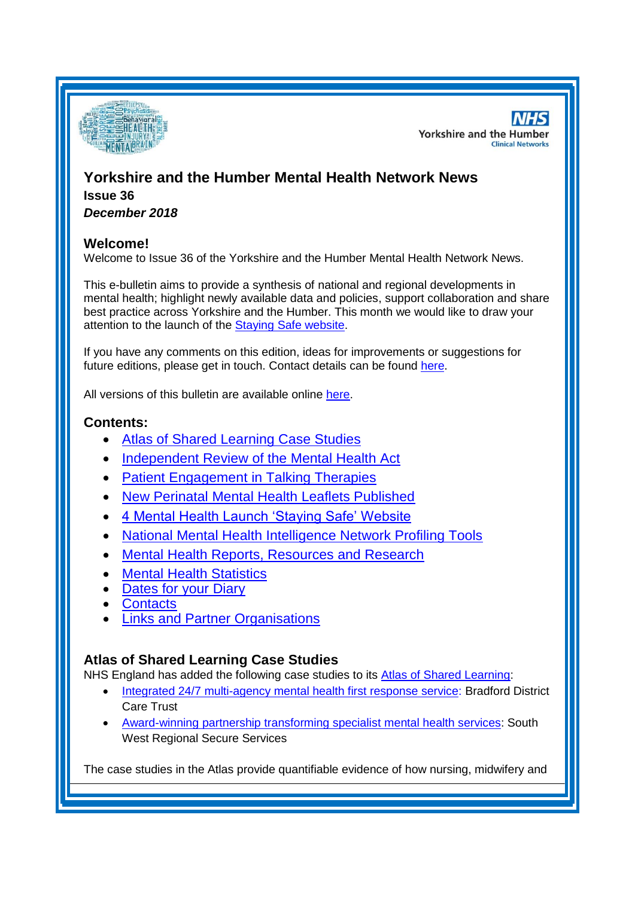

**NHS Yorkshire and the Humber Clinical Networks** 

# **Yorkshire and the Humber Mental Health Network News Issue 36**

*December 2018*

# **Welcome!**

Welcome to Issue 36 of the Yorkshire and the Humber Mental Health Network News.

This e-bulletin aims to provide a synthesis of national and regional developments in mental health; highlight newly available data and policies, support collaboration and share best practice across Yorkshire and the Humber. This month we would like to draw your attention to the launch of the [Staying Safe website.](#page-1-0)

If you have any comments on this edition, ideas for improvements or suggestions for future editions, please get in touch. Contact details can be found [here.](#page-4-0)

All versions of this bulletin are available online [here.](http://www.yhscn.nhs.uk/mental-health-clinic/mental-health-network/MH-documents-and-links.php)

# **Contents:**

- [Atlas of Shared Learning Case Studies](#page-0-0)
- [Independent Review of the Mental Health Act](#page-1-1)
- [Patient Engagement in Talking Therapies](#page-1-2)
- [New Perinatal Mental Health Leaflets Published](#page-1-3)
- [4 Mental Health Launch 'Staying Safe' Website](#page-1-0)
- [National Mental Health Intelligence Network Profiling Tools](#page-0-1)
- [Mental Health Reports, Resources and Research](#page-0-1)
- **[Mental Health Statistics](#page-3-0)**
- [Dates for your Diary](#page-3-1)
- **[Contacts](#page-4-0)**
- [Links and Partner Organisations](#page-4-1)

## <span id="page-0-1"></span><span id="page-0-0"></span>**Atlas of Shared Learning Case Studies**

NHS England has added the following case studies to its [Atlas of Shared Learning:](https://www.england.nhs.uk/leadingchange/atlas-of-shared-learning/)

- [Integrated 24/7 multi-agency mental health first response service:](https://www.england.nhs.uk/atlas_case_study/integrated-24-7-multi-agency-mental-health-first-response-service/) Bradford District Care Trust
- [Award-winning partnership transforming specialist mental health services:](https://www.england.nhs.uk/publication/award-winning-partnership-transforming-specialist-mental-health-services/) South West Regional Secure Services

The case studies in the Atlas provide quantifiable evidence of how nursing, midwifery and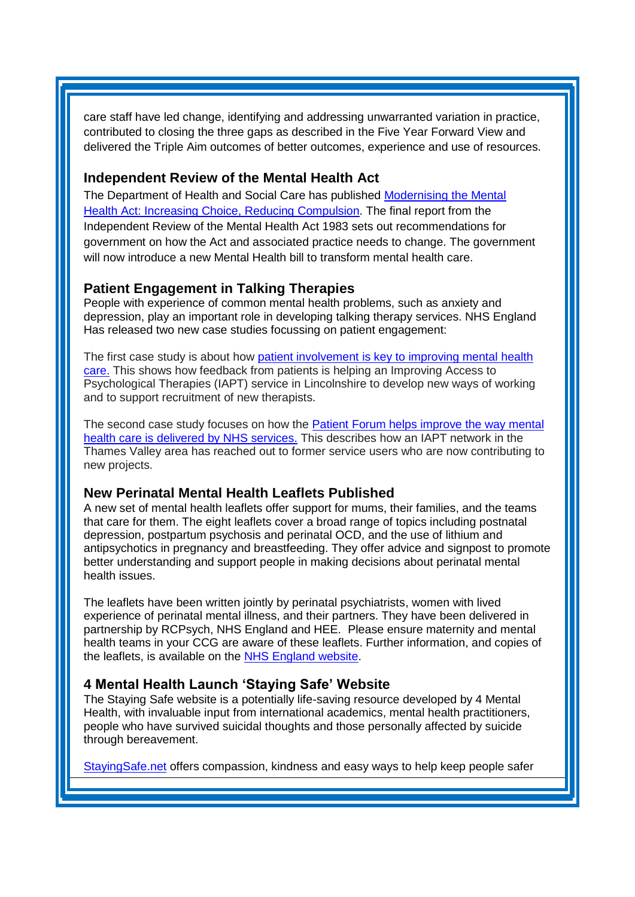care staff have led change, identifying and addressing unwarranted variation in practice, contributed to closing the three gaps as described in the Five Year Forward View and delivered the Triple Aim outcomes of better outcomes, experience and use of resources.

## <span id="page-1-1"></span>**Independent Review of the Mental Health Act**

The Department of Health and Social Care has published [Modernising the Mental](https://www.gov.uk/government/publications/modernising-the-mental-health-act-final-report-from-the-independent-review)  [Health Act: Increasing Choice, Reducing Compulsion.](https://www.gov.uk/government/publications/modernising-the-mental-health-act-final-report-from-the-independent-review) The final report from the Independent Review of the Mental Health Act 1983 sets out recommendations for government on how the Act and associated practice needs to change. The government will now introduce a new Mental Health bill to transform mental health care.

## <span id="page-1-2"></span>**Patient Engagement in Talking Therapies**

People with experience of common mental health problems, such as anxiety and depression, play an important role in developing talking therapy services. NHS England Has released two new case studies focussing on patient engagement:

The first case study is about how [patient involvement is key to improving mental](https://www.england.nhs.uk/mental-health/case-studies/patient-involvement-is-key-to-improving-mental-health-care/) health [care.](https://www.england.nhs.uk/mental-health/case-studies/patient-involvement-is-key-to-improving-mental-health-care/) This shows how feedback from patients is helping an Improving Access to Psychological Therapies (IAPT) service in Lincolnshire to develop new ways of working and to support recruitment of new therapists.

The second case study focuses on how the [Patient Forum helps improve the way mental](https://www.england.nhs.uk/mental-health/case-studies/patient-forum-helps-improve-the-way-mental-health-care-is-delivered-by-nhs-services/)  [health care is delivered by NHS services.](https://www.england.nhs.uk/mental-health/case-studies/patient-forum-helps-improve-the-way-mental-health-care-is-delivered-by-nhs-services/) This describes how an IAPT network in the Thames Valley area has reached out to former service users who are now contributing to new projects.

## <span id="page-1-3"></span>**New Perinatal Mental Health Leaflets Published**

A new set of mental health leaflets offer support for mums, their families, and the teams that care for them. The eight leaflets cover a broad range of topics including postnatal depression, postpartum psychosis and perinatal OCD, and the use of lithium and antipsychotics in pregnancy and breastfeeding. They offer advice and signpost to promote better understanding and support people in making decisions about perinatal mental health issues.

The leaflets have been written jointly by perinatal psychiatrists, women with lived experience of perinatal mental illness, and their partners. They have been delivered in partnership by RCPsych, NHS England and HEE. Please ensure maternity and mental health teams in your CCG are aware of these leaflets. Further information, and copies of the leaflets, is available on the [NHS England website.](https://www.england.nhs.uk/mental-health/perinatal/#securing-transformation)

## <span id="page-1-0"></span>**4 Mental Health Launch 'Staying Safe' Website**

The Staying Safe website is a potentially life-saving resource developed by 4 Mental Health, with invaluable input from international academics, mental health practitioners, people who have survived suicidal thoughts and those personally affected by suicide through bereavement.

[StayingSafe.net](http://stayingsafe.net/) offers compassion, kindness and easy ways to help keep people safer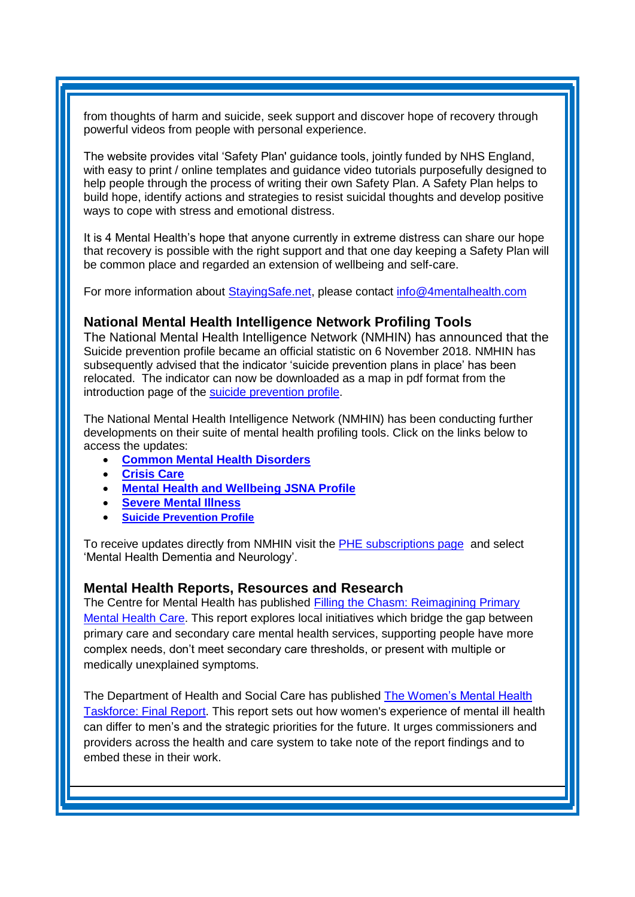from thoughts of harm and suicide, seek support and discover hope of recovery through powerful videos from people with personal experience.

The website provides vital 'Safety Plan' guidance tools, jointly funded by NHS England, with easy to print / online templates and guidance video tutorials purposefully designed to help people through the process of writing their own Safety Plan. A Safety Plan helps to build hope, identify actions and strategies to resist suicidal thoughts and develop positive ways to cope with stress and emotional distress.

It is 4 Mental Health's hope that anyone currently in extreme distress can share our hope that recovery is possible with the right support and that one day keeping a Safety Plan will be common place and regarded an extension of wellbeing and self-care.

For more information about [StayingSafe.net,](http://stayingsafe.net/) please contact [info@4mentalhealth.com](mailto:info@4mentalhealth.com)

#### **National Mental Health Intelligence Network Profiling Tools**

The National Mental Health Intelligence Network (NMHIN) has announced that the Suicide prevention profile became an official statistic on 6 November 2018. NMHIN has subsequently advised that the indicator 'suicide prevention plans in place' has been relocated. The indicator can now be downloaded as a map in pdf format from the introduction page of the [suicide prevention profile.](http://links.govdelivery.com/track?type=click&enid=ZWFzPTEmbXNpZD0mYXVpZD0mbWFpbGluZ2lkPTIwMTgxMjA0Ljk4NTU5OTcxJm1lc3NhZ2VpZD1NREItUFJELUJVTC0yMDE4MTIwNC45ODU1OTk3MSZkYXRhYmFzZWlkPTEwMDEmc2VyaWFsPTE3MDY1Nzg2JmVtYWlsaWQ9c2FyYWguYm91bEBuaHMubmV0JnVzZXJpZD1zYXJhaC5ib3VsQG5ocy5uZXQmdGFyZ2V0aWQ9JmZsPSZleHRyYT1NdWx0aXZhcmlhdGVJZD0mJiY=&&&100&&&https://fingertips.phe.org.uk/profile-group/mental-health/profile/suicide)

The National Mental Health Intelligence Network (NMHIN) has been conducting further developments on their suite of mental health profiling tools. Click on the links below to access the updates:

- **[Common Mental Health Disorders](http://links.govdelivery.com/track?type=click&enid=ZWFzPTEmbXNpZD0mYXVpZD0mbWFpbGluZ2lkPTIwMTcxMjA1LjgxOTE2MDgxJm1lc3NhZ2VpZD1NREItUFJELUJVTC0yMDE3MTIwNS44MTkxNjA4MSZkYXRhYmFzZWlkPTEwMDEmc2VyaWFsPTE2OTcwMTE4JmVtYWlsaWQ9c2FyYWguYm91bEBuaHMubmV0JnVzZXJpZD1zYXJhaC5ib3VsQG5ocy5uZXQmdGFyZ2V0aWQ9JmZsPSZleHRyYT1NdWx0aXZhcmlhdGVJZD0mJiY=&&&104&&&https://fingertips.phe.org.uk/profile-group/mental-health/profile/common-mental-disorders)**
- **[Crisis Care](http://links.govdelivery.com/track?type=click&enid=ZWFzPTEmbXNpZD0mYXVpZD0mbWFpbGluZ2lkPTIwMTcxMjA1LjgxOTE2MDgxJm1lc3NhZ2VpZD1NREItUFJELUJVTC0yMDE3MTIwNS44MTkxNjA4MSZkYXRhYmFzZWlkPTEwMDEmc2VyaWFsPTE2OTcwMTE4JmVtYWlsaWQ9c2FyYWguYm91bEBuaHMubmV0JnVzZXJpZD1zYXJhaC5ib3VsQG5ocy5uZXQmdGFyZ2V0aWQ9JmZsPSZleHRyYT1NdWx0aXZhcmlhdGVJZD0mJiY=&&&105&&&https://fingertips.phe.org.uk/profile-group/mental-health/profile/crisis-care)**
- **[Mental Health and Wellbeing JSNA Profile](http://links.govdelivery.com/track?type=click&enid=ZWFzPTEmbXNpZD0mYXVpZD0mbWFpbGluZ2lkPTIwMTcxMjA1LjgxOTE2MDgxJm1lc3NhZ2VpZD1NREItUFJELUJVTC0yMDE3MTIwNS44MTkxNjA4MSZkYXRhYmFzZWlkPTEwMDEmc2VyaWFsPTE2OTcwMTE4JmVtYWlsaWQ9c2FyYWguYm91bEBuaHMubmV0JnVzZXJpZD1zYXJhaC5ib3VsQG5ocy5uZXQmdGFyZ2V0aWQ9JmZsPSZleHRyYT1NdWx0aXZhcmlhdGVJZD0mJiY=&&&106&&&https://fingertips.phe.org.uk/profile-group/mental-health/profile/mh-jsna)**
- **[Severe Mental Illness](http://links.govdelivery.com/track?type=click&enid=ZWFzPTEmbXNpZD0mYXVpZD0mbWFpbGluZ2lkPTIwMTcxMjA1LjgxOTE2MDgxJm1lc3NhZ2VpZD1NREItUFJELUJVTC0yMDE3MTIwNS44MTkxNjA4MSZkYXRhYmFzZWlkPTEwMDEmc2VyaWFsPTE2OTcwMTE4JmVtYWlsaWQ9c2FyYWguYm91bEBuaHMubmV0JnVzZXJpZD1zYXJhaC5ib3VsQG5ocy5uZXQmdGFyZ2V0aWQ9JmZsPSZleHRyYT1NdWx0aXZhcmlhdGVJZD0mJiY=&&&108&&&https://fingertips.phe.org.uk/profile-group/mental-health/profile/severe-mental-illness)**
- **[Suicide Prevention Profile](http://links.govdelivery.com/track?type=click&enid=ZWFzPTEmbXNpZD0mYXVpZD0mbWFpbGluZ2lkPTIwMTgwNjA1LjkwNzEwNzExJm1lc3NhZ2VpZD1NREItUFJELUJVTC0yMDE4MDYwNS45MDcxMDcxMSZkYXRhYmFzZWlkPTEwMDEmc2VyaWFsPTE3MDEzODU4JmVtYWlsaWQ9c2FyYWguYm91bEBuaHMubmV0JnVzZXJpZD1zYXJhaC5ib3VsQG5ocy5uZXQmdGFyZ2V0aWQ9JmZsPSZleHRyYT1NdWx0aXZhcmlhdGVJZD0mJiY=&&&104&&&https://fingertips.phe.org.uk/profile-group/mental-health/profile/suicide)**

To receive updates directly from NMHIN visit the [PHE subscriptions page](http://links.govdelivery.com/track?type=click&enid=ZWFzPTEmbXNpZD0mYXVpZD0mbWFpbGluZ2lkPTIwMTgwMjA3Ljg0OTY1MzgxJm1lc3NhZ2VpZD1NREItUFJELUJVTC0yMDE4MDIwNy44NDk2NTM4MSZkYXRhYmFzZWlkPTEwMDEmc2VyaWFsPTE2OTgzNDk5JmVtYWlsaWQ9c2FyYWguYm91bEBuaHMubmV0JnVzZXJpZD1zYXJhaC5ib3VsQG5ocy5uZXQmdGFyZ2V0aWQ9JmZsPSZleHRyYT1NdWx0aXZhcmlhdGVJZD0mJiY=&&&107&&&https://public.govdelivery.com/accounts/UKHPA/subscribers/new?preferences=true) and select 'Mental Health Dementia and Neurology'.

#### **Mental Health Reports, Resources and Research**

The Centre for Mental Health has published [Filling the Chasm: Reimagining Primary](https://www.centreformentalhealth.org.uk/filling-chasm)  [Mental Health Care.](https://www.centreformentalhealth.org.uk/filling-chasm) This report explores local initiatives which bridge the gap between primary care and secondary care mental health services, supporting people have more complex needs, don't meet secondary care thresholds, or present with multiple or medically unexplained symptoms.

The Department of Health and Social Care has published [The Women's Mental Health](https://www.gov.uk/government/publications/the-womens-mental-health-taskforce-report)  [Taskforce: Final Report.](https://www.gov.uk/government/publications/the-womens-mental-health-taskforce-report) This report sets out how women's experience of mental ill health can differ to men's and the strategic priorities for the future. It urges commissioners and providers across the health and care system to take note of the report findings and to embed these in their work.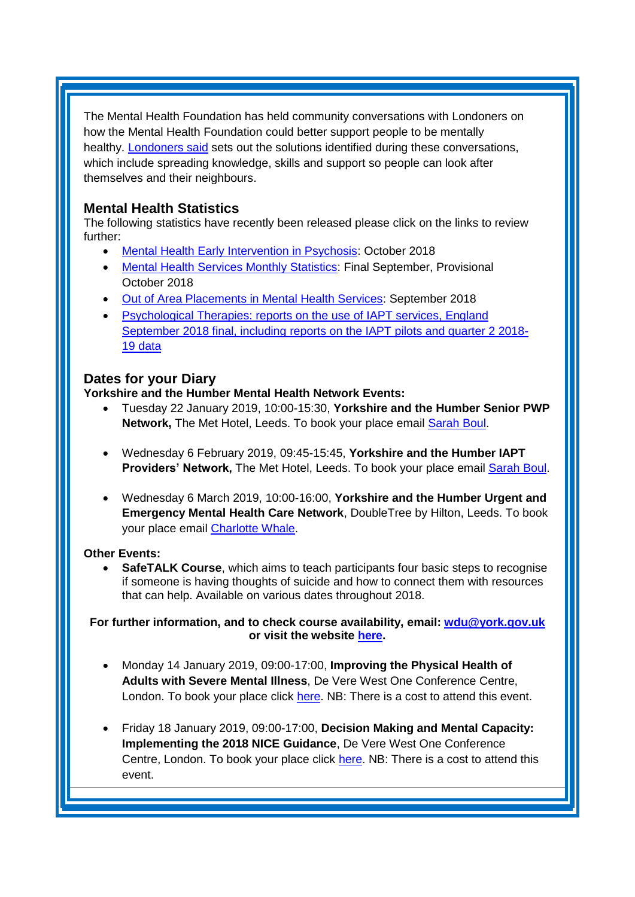The Mental Health Foundation has held community conversations with Londoners on how the Mental Health Foundation could better support people to be mentally healthy. [Londoners said](https://www.mentalhealth.org.uk/publications/londoners-said) sets out the solutions identified during these conversations, which include spreading knowledge, skills and support so people can look after themselves and their neighbours.

## <span id="page-3-0"></span>**Mental Health Statistics**

The following statistics have recently been released please click on the links to review further:

- <span id="page-3-1"></span>[Mental Health Early Intervention in Psychosis:](https://www.gov.uk/government/statistics/mental-health-early-intervention-in-psychosis-for-october-2018) October 2018
- [Mental Health Services Monthly Statistics:](https://digital.nhs.uk/data-and-information/publications/statistical/mental-health-services-monthly-statistics/final-september-provisional-october-2018) Final September, Provisional October 2018
- [Out of Area Placements in Mental Health Services:](https://digital.nhs.uk/data-and-information/publications/statistical/out-of-area-placements-in-mental-health-services/september-2018) September 2018
- [Psychological Therapies: reports on the use of IAPT services, England](https://digital.nhs.uk/data-and-information/publications/statistical/psychological-therapies-report-on-the-use-of-iapt-services/september-2018-final-including-reports-on-the-iapt-pilots-and-quarter-2-2018-19)  September [2018 final, including reports on the IAPT pilots and quarter 2 2018-](https://digital.nhs.uk/data-and-information/publications/statistical/psychological-therapies-report-on-the-use-of-iapt-services/september-2018-final-including-reports-on-the-iapt-pilots-and-quarter-2-2018-19) [19 data](https://digital.nhs.uk/data-and-information/publications/statistical/psychological-therapies-report-on-the-use-of-iapt-services/september-2018-final-including-reports-on-the-iapt-pilots-and-quarter-2-2018-19)

## **Dates for your Diary**

### **Yorkshire and the Humber Mental Health Network Events:**

- Tuesday 22 January 2019, 10:00-15:30, **Yorkshire and the Humber Senior PWP Network,** The Met Hotel, Leeds. To book your place email [Sarah Boul.](mailto:sarah.boul@nhs.net?subject=Senior%20PWP%20Network)
- Wednesday 6 February 2019, 09:45-15:45, **Yorkshire and the Humber IAPT**  Providers' Network, The Met Hotel, Leeds. To book your place email **Sarah Boul.**
- Wednesday 6 March 2019, 10:00-16:00, **Yorkshire and the Humber Urgent and Emergency Mental Health Care Network**, DoubleTree by Hilton, Leeds. To book your place email [Charlotte Whale.](mailto:charlotte.whale@nhs.net)

## **Other Events:**

 **SafeTALK Course**, which aims to teach participants four basic steps to recognise if someone is having thoughts of suicide and how to connect them with resources that can help. Available on various dates throughout 2018.

**For further information, and to check course availability, email: [wdu@york.gov.uk](mailto:wdu@york.gov.uk) or visit the website [here.](http://www.yorkworkforcedevelopment.org.uk/)**

- Monday 14 January 2019, 09:00-17:00, **Improving the Physical Health of Adults with Severe Mental Illness**, De Vere West One Conference Centre, London. To book your place click [here.](https://www.healthcareconferencesuk.co.uk/event/1391/book) NB: There is a cost to attend this event.
- Friday 18 January 2019, 09:00-17:00, **Decision Making and Mental Capacity: Implementing the 2018 NICE Guidance**, De Vere West One Conference Centre, London. To book your place click [here.](https://www.healthcareconferencesuk.co.uk/decision-making-and-mental-capacity-2019) NB: There is a cost to attend this event.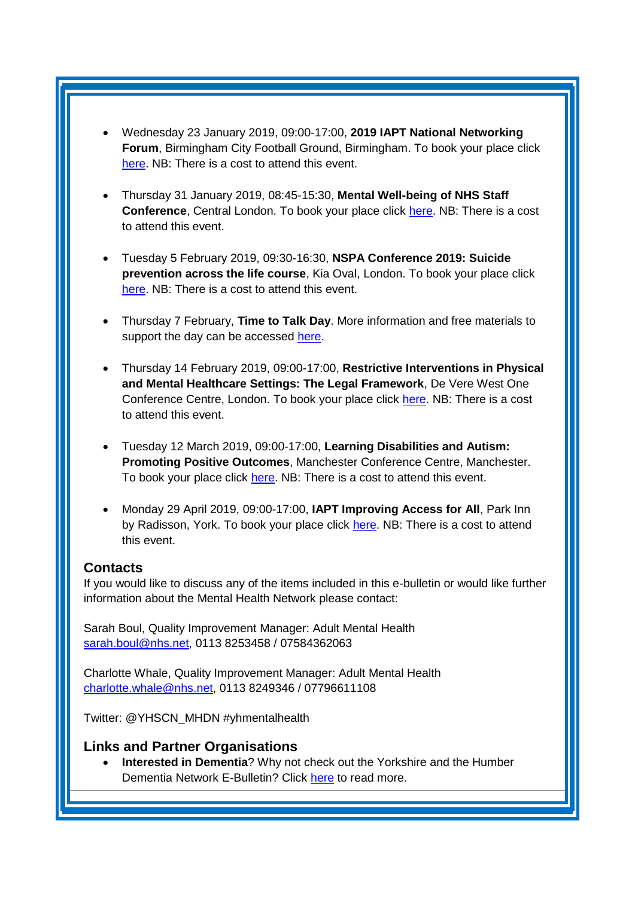- Wednesday 23 January 2019, 09:00-17:00, **2019 IAPT National Networking Forum**, Birmingham City Football Ground, Birmingham. To book your place click [here.](http://www.iapt-nnf.co.uk/booking/index/97/?utm_source=SBK%20Healthcare&utm_medium=email&utm_campaign=9813357_1901PT%201st%20email&dm_i=1SB0,5UC19,MCTTTA,MTWPG,1) NB: There is a cost to attend this event.
- Thursday 31 January 2019, 08:45-15:30, **Mental Well-being of NHS Staff Conference**, Central London. To book your place click [here.](https://westminsterinsight.com/booking/3231/NHMHEO-1900096) NB: There is a cost to attend this event.
- Tuesday 5 February 2019, 09:30-16:30, **NSPA Conference 2019: Suicide prevention across the life course**, Kia Oval, London. To book your place click [here.](https://www.eventbrite.co.uk/e/nspa-conference-2019-suicide-prevention-across-the-life-course-tickets-52083097948?aff=Supporters) NB: There is a cost to attend this event.
- Thursday 7 February, **Time to Talk Day**. More information and free materials to support the day can be accessed [here.](https://www.time-to-change.org.uk/get-involved/timetotalkday-2019)
- Thursday 14 February 2019, 09:00-17:00, **Restrictive Interventions in Physical and Mental Healthcare Settings: The Legal Framework**, De Vere West One Conference Centre, London. To book your place click [here.](https://www.healthcareconferencesuk.co.uk/event/887/book) NB: There is a cost to attend this event.
- Tuesday 12 March 2019, 09:00-17:00, **Learning Disabilities and Autism: Promoting Positive Outcomes**, Manchester Conference Centre, Manchester. To book your place click [here.](https://openforumevents.co.uk/events/2019/learning-disabilities-and-autism-promoting-positive-outcomes/#book?utm_source=OFE+S3.1+LD19+WC+26.11.2018+NHS+4&utm_medium=email&utm_campaign=OFE+S3.1+LD19+WC+26.11.2018) NB: There is a cost to attend this event.
- Monday 29 April 2019, 09:00-17:00, **IAPT Improving Access for All**, Park Inn by Radisson, York. To book your place click [here.](http://www.iapt-nnf.co.uk/booking/index/105/?utm_source=SBK%20Healthcare&utm_medium=email&utm_campaign=10129413_1932PT%201st%20email&dm_i=1SB0,613WL,MCTTTA,NNC6M,1) NB: There is a cost to attend this event.

## <span id="page-4-0"></span>**Contacts**

If you would like to discuss any of the items included in this e-bulletin or would like further information about the Mental Health Network please contact:

Sarah Boul, Quality Improvement Manager: Adult Mental Health [sarah.boul@nhs.net,](mailto:sarah.boul@nhs.net) 0113 8253458 / 07584362063

Charlotte Whale, Quality Improvement Manager: Adult Mental Health [charlotte.whale@nhs.net,](mailto:charlotte.whale@nhs.net) 0113 8249346 / 07796611108

Twitter: @YHSCN\_MHDN #yhmentalhealth

## <span id="page-4-1"></span>**Links and Partner Organisations**

 **Interested in Dementia**? Why not check out the Yorkshire and the Humber Dementia Network E-Bulletin? Click [here](http://www.yhscn.nhs.uk/mental-health-clinic/Dementia/YHSCNDementiaBulletin.php) to read more.